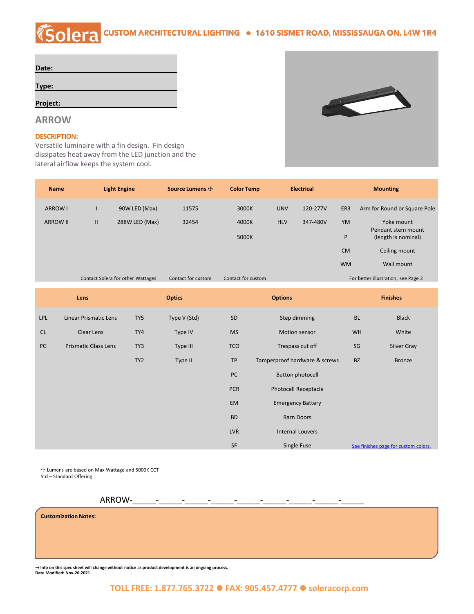## *K*solera **CUSTOM ARCHITECTURAL LIGHTING · 1610 SISMET ROAD, MISSISSAUGA ON, L4W 1R4**

| Date: |  |  |  |
|-------|--|--|--|
|       |  |  |  |
| Type: |  |  |  |
|       |  |  |  |

## **Project:**

## **ARROW**

#### **DESCRIPTION:**

Versatile luminaire with a fin design. Fin design dissipates heat away from the LED junction and the lateral airflow keeps the system cool.

| <b>Name</b>    |                                                   | <b>Light Engine</b>               | Source Lumens +    | <b>Color Temp</b>  | <b>Electrical</b>             |                             | <b>Mounting</b> |                                           |  |
|----------------|---------------------------------------------------|-----------------------------------|--------------------|--------------------|-------------------------------|-----------------------------|-----------------|-------------------------------------------|--|
| <b>ARROW I</b> | $\mathbf{I}$                                      | 90W LED (Max)                     | 11575              | 3000K              | <b>UNV</b>                    | 120-277V                    | ER3             | Arm for Round or Square Pole              |  |
|                | <b>ARROW II</b><br>$\mathbf{H}$<br>288W LED (Max) |                                   | 32454              | 4000K              | <b>HLV</b><br>347-480V        |                             | YM              | Yoke mount                                |  |
|                |                                                   |                                   |                    | 5000K              |                               |                             | ${\sf P}$       | Pendant stem mount<br>(length is nominal) |  |
|                |                                                   |                                   |                    |                    |                               |                             | <b>CM</b>       | Ceiling mount                             |  |
|                |                                                   |                                   |                    |                    |                               |                             | <b>WM</b>       | Wall mount                                |  |
|                |                                                   | Contact Solera for other Wattages | Contact for custom | Contact for custom |                               |                             |                 | For better illustration, see Page 2       |  |
|                | Lens                                              |                                   | <b>Optics</b>      |                    | <b>Options</b>                |                             |                 | <b>Finishes</b>                           |  |
| LPL            | Linear Prismatic Lens                             | TY5                               | Type V (Std)       | SD                 |                               | Step dimming                | <b>BL</b>       | <b>Black</b>                              |  |
| CL             | Clear Lens                                        | TY4                               | Type IV            | <b>MS</b>          | Motion sensor                 |                             | WH              | White                                     |  |
| PG             | <b>Prismatic Glass Lens</b>                       | TY3                               | Type III           | <b>TCO</b>         | Trespass cut off              |                             | SG              | Silver Gray                               |  |
|                |                                                   | TY <sub>2</sub>                   | Type II            | <b>TP</b>          | Tamperproof hardware & screws |                             | <b>BZ</b>       | <b>Bronze</b>                             |  |
|                |                                                   |                                   |                    | PC                 |                               | <b>Button photocell</b>     |                 |                                           |  |
|                |                                                   |                                   |                    | <b>PCR</b>         |                               | <b>Photocell Receptacle</b> |                 |                                           |  |
|                |                                                   |                                   |                    | EM                 |                               | <b>Emergency Battery</b>    |                 |                                           |  |
|                |                                                   |                                   |                    | <b>BD</b>          |                               | <b>Barn Doors</b>           |                 |                                           |  |
|                |                                                   |                                   |                    | LVR                |                               | <b>Internal Louvers</b>     |                 |                                           |  |
|                |                                                   |                                   |                    | SF                 |                               | <b>Single Fuse</b>          |                 | See finishes page for custom colors.      |  |

✣ Lumens are based on Max Wattage and 5000K CCT

Std – Standard Offering

ARROW-

**Customization Notes:**

⇢ **Info on this spec sheet will change without notice as product development is an ongoing process. Date Modified: Nov-26-2021**

## **TOLL FREE: 1.877.765.3722** ⚫ **FAX: 905.457.4777** ⚫ **soleracorp.com**